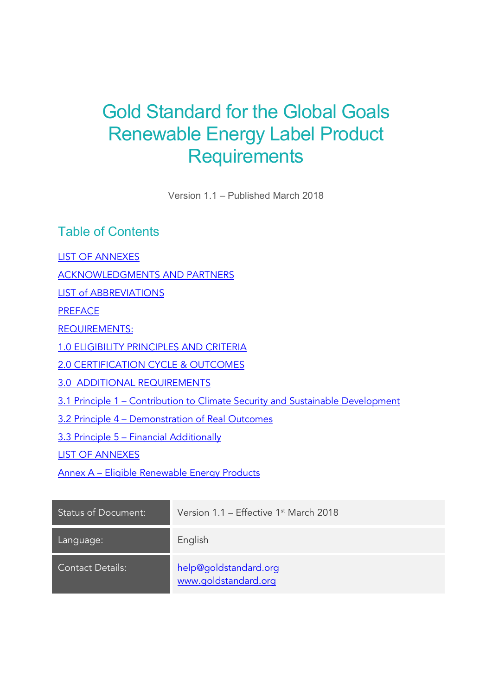# Gold Standard for the Global Goals Renewable Energy Label Product **Requirements**

Version 1.1 – Published March 2018

Table of Contents

LIST OF ANNEXES

ACKNOWLEDGMENTS AND PARTNERS

LIST of ABBREVIATIONS

**PREFACE** 

REQUIREMENTS:

1.0 ELIGIBILITY PRINCIPLES AND CRITERIA

2.0 CERTIFICATION CYCLE & OUTCOMES

3.0 ADDITIONAL REQUIREMENTS

3.1 Principle 1 – Contribution to Climate Security and Sustainable Development

3.2 Principle 4 – Demonstration of Real Outcomes

3.3 Principle 5 – Financial Additionally

LIST OF ANNEXES

Annex A – Eligible Renewable Energy Products

| <b>Status of Document:</b> | Version $1.1$ – Effective $1st$ March 2018    |
|----------------------------|-----------------------------------------------|
| Language:                  | English                                       |
| <b>Contact Details:</b>    | help@goldstandard.org<br>www.goldstandard.org |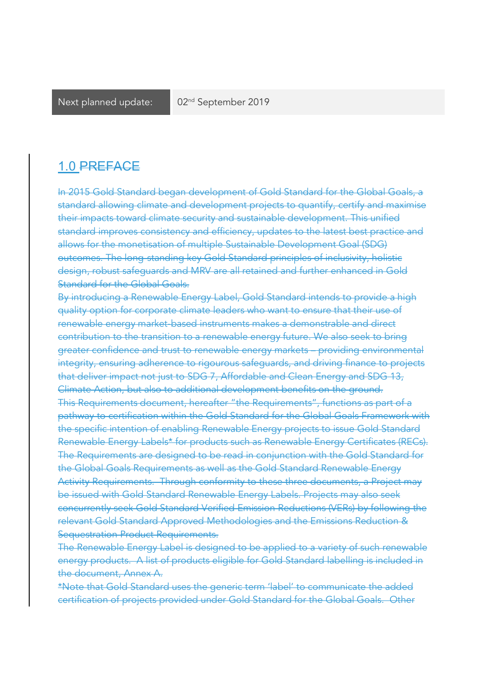### 1.0 PREFACE

In 2015 Gold Standard began development of Gold Standard for the Global Goals, a standard allowing climate and development projects to quantify, certify and maximise their impacts toward climate security and sustainable development. This unified standard improves consistency and efficiency, updates to the latest best practice and allows for the monetisation of multiple Sustainable Development Goal (SDG) outcomes. The long-standing key Gold Standard principles of inclusivity, holistic design, robust safeguards and MRV are all retained and further enhanced in Gold Standard for the Global Goals.

By introducing a Renewable Energy Label, Gold Standard intends to provide a high quality option for corporate climate leaders who want to ensure that their use of renewable energy market-based instruments makes a demonstrable and direct contribution to the transition to a renewable energy future. We also seek to bring greater confidence and trust to renewable energy markets – providing environmental integrity, ensuring adherence to rigourous safeguards, and driving finance to projects that deliver impact not just to SDG 7, Affordable and Clean Energy and SDG 13, Climate Action, but also to additional development benefits on the ground. This Requirements document, hereafter "the Requirements", functions as part of a pathway to certification within the Gold Standard for the Global Goals Framework with the specific intention of enabling Renewable Energy projects to issue Gold Standard Renewable Energy Labels\* for products such as Renewable Energy Certificates (RECs). The Requirements are designed to be read in conjunction with the Gold Standard for the Global Goals Requirements as well as the Gold Standard Renewable Energy Activity Requirements. Through conformity to these three documents, a Project may be issued with Gold Standard Renewable Energy Labels. Projects may also seek concurrently seek Gold Standard Verified Emission Reductions (VERs) by following the relevant Gold Standard Approved Methodologies and the Emissions Reduction & Sequestration Product Requirements.

The Renewable Energy Label is designed to be applied to a variety of such renewable energy products. A list of products eligible for Gold Standard labelling is included in the document, Annex A.

\*Note that Gold Standard uses the generic term 'label' to communicate the added certification of projects provided under Gold Standard for the Global Goals. Other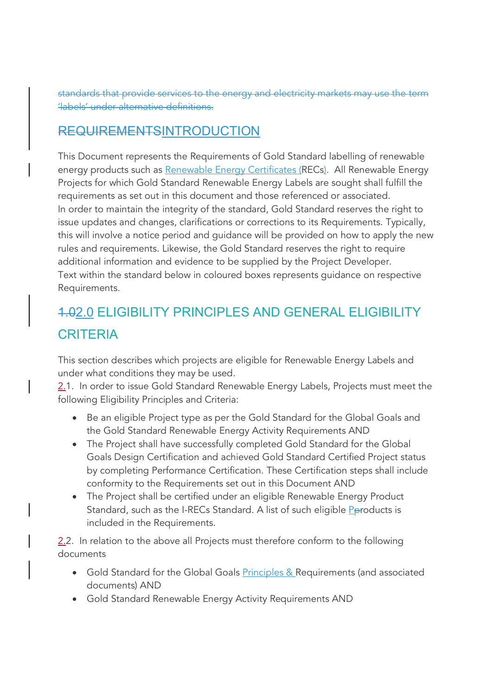standards that provide services to the energy and electricity markets may use the term 'labels' under alternative definitions.

### REQUIREMENTSINTRODUCTION

This Document represents the Requirements of Gold Standard labelling of renewable energy products such as Renewable Energy Certificates (RECs). All Renewable Energy Projects for which Gold Standard Renewable Energy Labels are sought shall fulfill the requirements as set out in this document and those referenced or associated. In order to maintain the integrity of the standard, Gold Standard reserves the right to issue updates and changes, clarifications or corrections to its Requirements. Typically, this will involve a notice period and guidance will be provided on how to apply the new rules and requirements. Likewise, the Gold Standard reserves the right to require additional information and evidence to be supplied by the Project Developer. Text within the standard below in coloured boxes represents guidance on respective Requirements.

## 1.02.0 ELIGIBILITY PRINCIPLES AND GENERAL ELIGIBILITY **CRITERIA**

This section describes which projects are eligible for Renewable Energy Labels and under what conditions they may be used.

2.1. In order to issue Gold Standard Renewable Energy Labels, Projects must meet the following Eligibility Principles and Criteria:

- Be an eligible Project type as per the Gold Standard for the Global Goals and the Gold Standard Renewable Energy Activity Requirements AND
- The Project shall have successfully completed Gold Standard for the Global Goals Design Certification and achieved Gold Standard Certified Project status by completing Performance Certification. These Certification steps shall include conformity to the Requirements set out in this Document AND
- The Project shall be certified under an eligible Renewable Energy Product Standard, such as the I-RECs Standard. A list of such eligible Pproducts is included in the Requirements.

2.2. In relation to the above all Projects must therefore conform to the following documents

- Gold Standard for the Global Goals **Principles & Requirements (and associated** documents) AND
- Gold Standard Renewable Energy Activity Requirements AND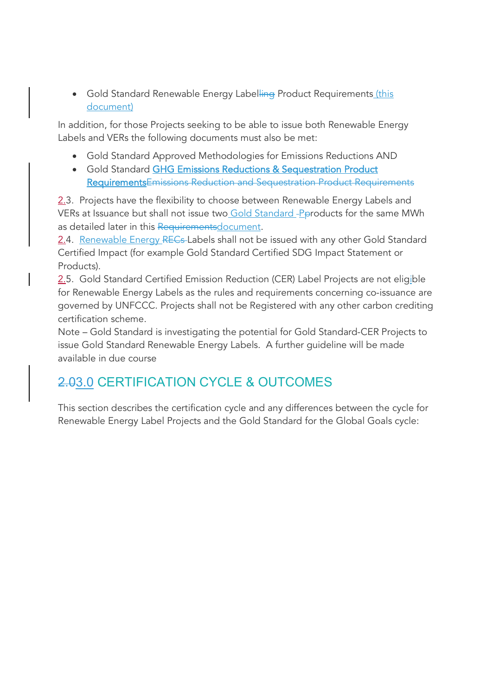• Gold Standard Renewable Energy Labelling Product Requirements (this document)

In addition, for those Projects seeking to be able to issue both Renewable Energy Labels and VERs the following documents must also be met:

- Gold Standard Approved Methodologies for Emissions Reductions AND
- Gold Standard GHG Emissions Reductions & Sequestration Product RequirementsEmissions Reduction and Sequestration Product Requirements

2.3. Projects have the flexibility to choose between Renewable Energy Labels and VERs at Issuance but shall not issue two Gold Standard -Pproducts for the same MWh as detailed later in this Requirementsdocument.

2.4. Renewable Energy RECs Labels shall not be issued with any other Gold Standard Certified Impact (for example Gold Standard Certified SDG Impact Statement or Products).

2.5. Gold Standard Certified Emission Reduction (CER) Label Projects are not eligible for Renewable Energy Labels as the rules and requirements concerning co-issuance are governed by UNFCCC. Projects shall not be Registered with any other carbon crediting certification scheme.

Note – Gold Standard is investigating the potential for Gold Standard-CER Projects to issue Gold Standard Renewable Energy Labels. A further guideline will be made available in due course

## 2.03.0 CERTIFICATION CYCLE & OUTCOMES

This section describes the certification cycle and any differences between the cycle for Renewable Energy Label Projects and the Gold Standard for the Global Goals cycle: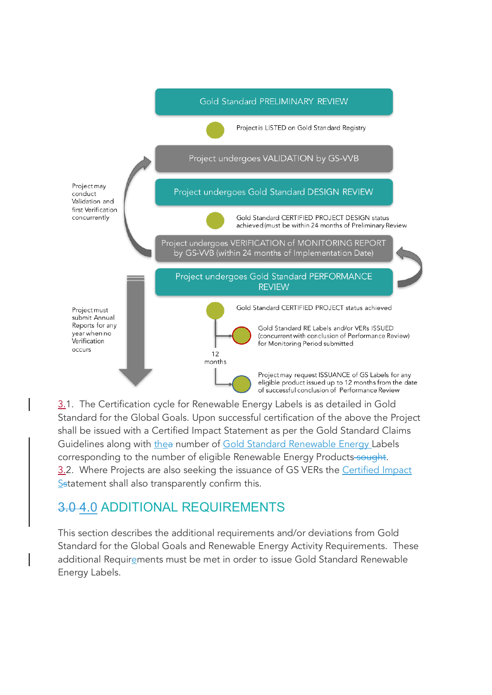

3.1. The Certification cycle for Renewable Energy Labels is as detailed in Gold Standard for the Global Goals. Upon successful certification of the above the Project shall be issued with a Certified Impact Statement as per the Gold Standard Claims Guidelines along with thea number of Gold Standard Renewable Energy Labels corresponding to the number of eligible Renewable Energy Products-sought. 3.2. Where Projects are also seeking the issuance of GS VERs the Certified Impact Sstatement shall also transparently confirm this.

## 3.0 4.0 ADDITIONAL REQUIREMENTS

This section describes the additional requirements and/or deviations from Gold Standard for the Global Goals and Renewable Energy Activity Requirements. These additional Requirements must be met in order to issue Gold Standard Renewable Energy Labels.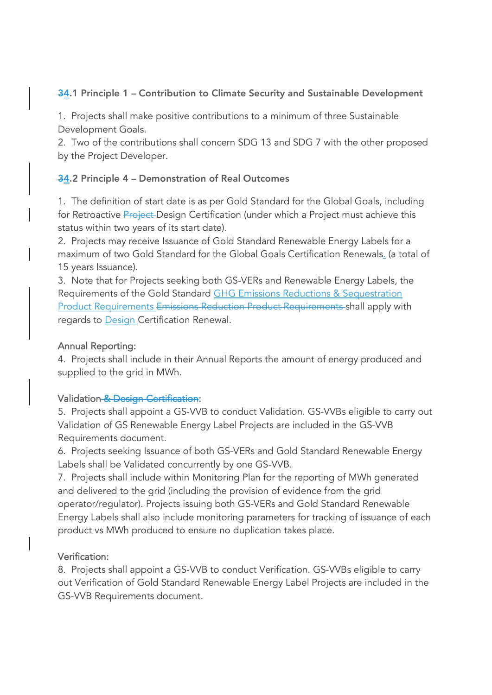#### 34.1 Principle 1 - Contribution to Climate Security and Sustainable Development

1. Projects shall make positive contributions to a minimum of three Sustainable Development Goals.

2. Two of the contributions shall concern SDG 13 and SDG 7 with the other proposed by the Project Developer.

#### 34.2 Principle 4 – Demonstration of Real Outcomes

1. The definition of start date is as per Gold Standard for the Global Goals, including for Retroactive Project Design Certification (under which a Project must achieve this status within two years of its start date).

2. Projects may receive Issuance of Gold Standard Renewable Energy Labels for a maximum of two Gold Standard for the Global Goals Certification Renewals. (a total of 15 years Issuance).

3. Note that for Projects seeking both GS-VERs and Renewable Energy Labels, the Requirements of the Gold Standard GHG Emissions Reductions & Sequestration Product Requirements Emissions Reduction Product Requirements shall apply with regards to Design Certification Renewal.

#### Annual Reporting:

4. Projects shall include in their Annual Reports the amount of energy produced and supplied to the grid in MWh.

#### Validation & Design Certification:

5. Projects shall appoint a GS-VVB to conduct Validation. GS-VVBs eligible to carry out Validation of GS Renewable Energy Label Projects are included in the GS-VVB Requirements document.

6. Projects seeking Issuance of both GS-VERs and Gold Standard Renewable Energy Labels shall be Validated concurrently by one GS-VVB.

7. Projects shall include within Monitoring Plan for the reporting of MWh generated and delivered to the grid (including the provision of evidence from the grid operator/regulator). Projects issuing both GS-VERs and Gold Standard Renewable Energy Labels shall also include monitoring parameters for tracking of issuance of each product vs MWh produced to ensure no duplication takes place.

#### Verification:

8. Projects shall appoint a GS-VVB to conduct Verification. GS-VVBs eligible to carry out Verification of Gold Standard Renewable Energy Label Projects are included in the GS-VVB Requirements document.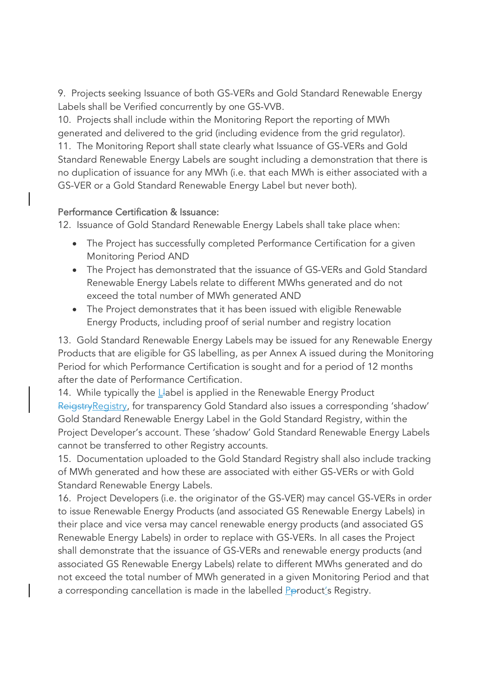9. Projects seeking Issuance of both GS-VERs and Gold Standard Renewable Energy Labels shall be Verified concurrently by one GS-VVB.

10. Projects shall include within the Monitoring Report the reporting of MWh generated and delivered to the grid (including evidence from the grid regulator). 11. The Monitoring Report shall state clearly what Issuance of GS-VERs and Gold Standard Renewable Energy Labels are sought including a demonstration that there is no duplication of issuance for any MWh (i.e. that each MWh is either associated with a GS-VER or a Gold Standard Renewable Energy Label but never both).

#### Performance Certification & Issuance:

12. Issuance of Gold Standard Renewable Energy Labels shall take place when:

- The Project has successfully completed Performance Certification for a given Monitoring Period AND
- The Project has demonstrated that the issuance of GS-VERs and Gold Standard Renewable Energy Labels relate to different MWhs generated and do not exceed the total number of MWh generated AND
- The Project demonstrates that it has been issued with eligible Renewable Energy Products, including proof of serial number and registry location

13. Gold Standard Renewable Energy Labels may be issued for any Renewable Energy Products that are eligible for GS labelling, as per Annex A issued during the Monitoring Period for which Performance Certification is sought and for a period of 12 months after the date of Performance Certification.

14. While typically the  $L$ -abel is applied in the Renewable Energy Product ReigstryRegistry, for transparency Gold Standard also issues a corresponding 'shadow' Gold Standard Renewable Energy Label in the Gold Standard Registry, within the Project Developer's account. These 'shadow' Gold Standard Renewable Energy Labels cannot be transferred to other Registry accounts.

15. Documentation uploaded to the Gold Standard Registry shall also include tracking of MWh generated and how these are associated with either GS-VERs or with Gold Standard Renewable Energy Labels.

16. Project Developers (i.e. the originator of the GS-VER) may cancel GS-VERs in order to issue Renewable Energy Products (and associated GS Renewable Energy Labels) in their place and vice versa may cancel renewable energy products (and associated GS Renewable Energy Labels) in order to replace with GS-VERs. In all cases the Project shall demonstrate that the issuance of GS-VERs and renewable energy products (and associated GS Renewable Energy Labels) relate to different MWhs generated and do not exceed the total number of MWh generated in a given Monitoring Period and that a corresponding cancellation is made in the labelled Pproduct's Registry.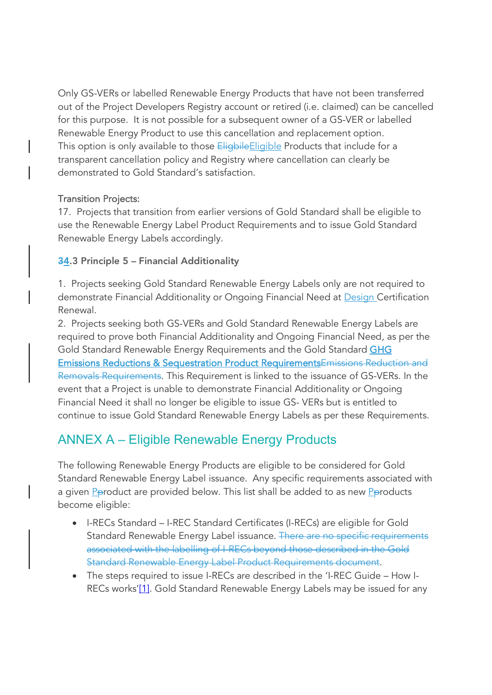Only GS-VERs or labelled Renewable Energy Products that have not been transferred out of the Project Developers Registry account or retired (i.e. claimed) can be cancelled for this purpose. It is not possible for a subsequent owner of a GS-VER or labelled Renewable Energy Product to use this cancellation and replacement option. This option is only available to those **Eligbile Eligible** Products that include for a transparent cancellation policy and Registry where cancellation can clearly be demonstrated to Gold Standard's satisfaction.

#### Transition Projects:

17. Projects that transition from earlier versions of Gold Standard shall be eligible to use the Renewable Energy Label Product Requirements and to issue Gold Standard Renewable Energy Labels accordingly.

#### 34.3 Principle 5 – Financial Additionality

1. Projects seeking Gold Standard Renewable Energy Labels only are not required to demonstrate Financial Additionality or Ongoing Financial Need at Design Certification Renewal.

2. Projects seeking both GS-VERs and Gold Standard Renewable Energy Labels are required to prove both Financial Additionality and Ongoing Financial Need, as per the Gold Standard Renewable Energy Requirements and the Gold Standard GHG Emissions Reductions & Sequestration Product RequirementsEmissions Reduction and Removals Requirements. This Requirement is linked to the issuance of GS-VERs. In the event that a Project is unable to demonstrate Financial Additionality or Ongoing Financial Need it shall no longer be eligible to issue GS- VERs but is entitled to continue to issue Gold Standard Renewable Energy Labels as per these Requirements.

## ANNEX A – Eligible Renewable Energy Products

The following Renewable Energy Products are eligible to be considered for Gold Standard Renewable Energy Label issuance. Any specific requirements associated with a given Pproduct are provided below. This list shall be added to as new Pproducts become eligible:

- I-RECs Standard I-REC Standard Certificates (I-RECs) are eligible for Gold Standard Renewable Energy Label issuance. There are no specific requirements associated with the labelling of I-RECs beyond those described in the Gold Standard Renewable Energy Label Product Requirements document.
- The steps required to issue I-RECs are described in the 'I-REC Guide How I-RECs works'[1]. Gold Standard Renewable Energy Labels may be issued for any